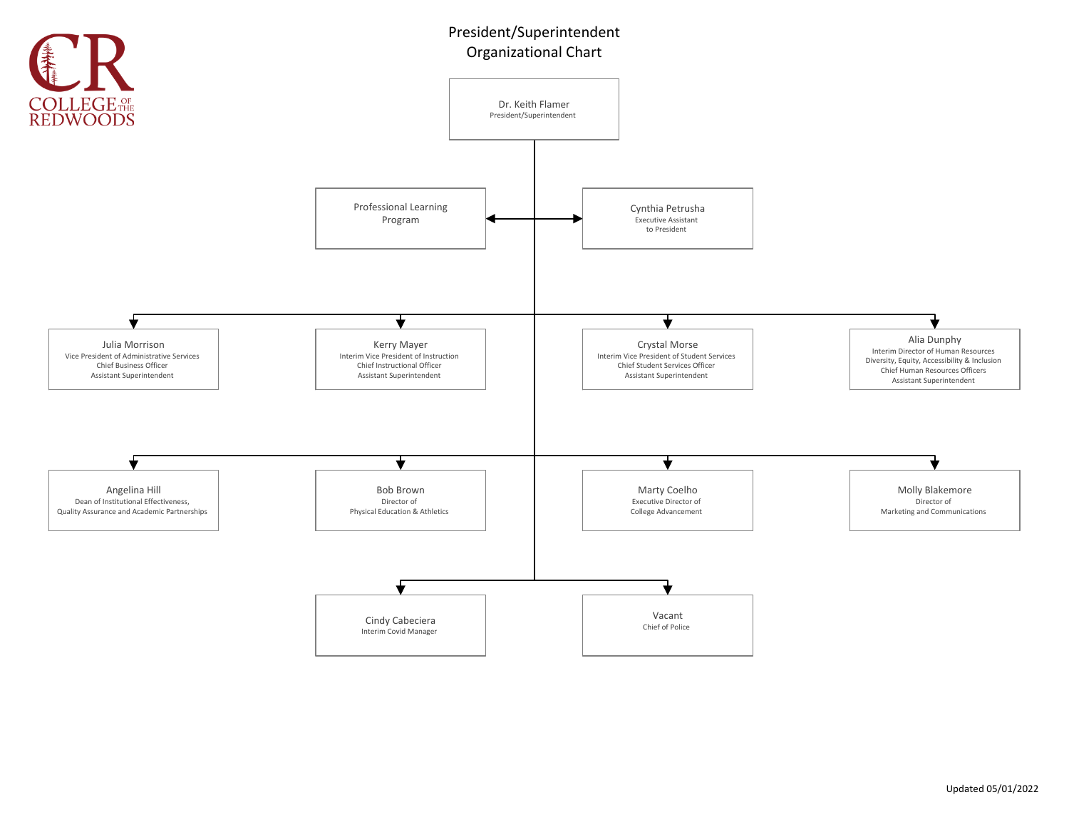